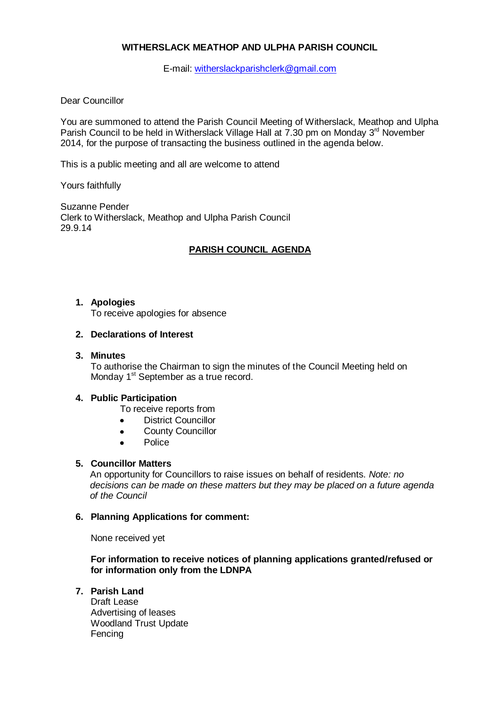# **WITHERSLACK MEATHOP AND ULPHA PARISH COUNCIL**

E-mail: [witherslackparishclerk@gmail.com](mailto:witherslackparishclerk@gmail.com)

### Dear Councillor

You are summoned to attend the Parish Council Meeting of Witherslack, Meathop and Ulpha Parish Council to be held in Witherslack Village Hall at 7.30 pm on Monday 3<sup>rd</sup> November 2014, for the purpose of transacting the business outlined in the agenda below.

This is a public meeting and all are welcome to attend

Yours faithfully

Suzanne Pender Clerk to Witherslack, Meathop and Ulpha Parish Council 29.9.14

# **PARISH COUNCIL AGENDA**

### **1. Apologies**

To receive apologies for absence

### **2. Declarations of Interest**

### **3. Minutes**

To authorise the Chairman to sign the minutes of the Council Meeting held on Monday 1<sup>st</sup> September as a true record.

## **4. Public Participation**

- To receive reports from
- $\bullet$ District Councillor
- County Councillor  $\bullet$
- Police  $\bullet$

## **5. Councillor Matters**

An opportunity for Councillors to raise issues on behalf of residents. *Note: no decisions can be made on these matters but they may be placed on a future agenda of the Council*

#### **6. Planning Applications for comment:**

None received yet

**For information to receive notices of planning applications granted/refused or for information only from the LDNPA**

# **7. Parish Land**

Draft Lease Advertising of leases Woodland Trust Update Fencing